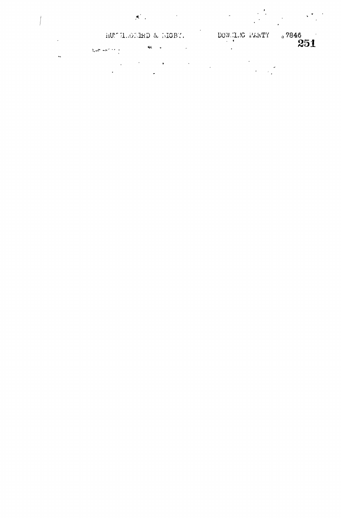$\mathcal{L}$ 

 $\mathbf{r}$ 

 $\frac{1}{2}$ 

RD & MGBY. DOWNLIG PARTY "7846  $\label{eq:1} \frac{1}{\sqrt{2}}\log\frac{1}{\sqrt{2}}\left(\frac{1}{\sqrt{2}}\right)^2\left(\frac{1}{\sqrt{2}}\right)^2$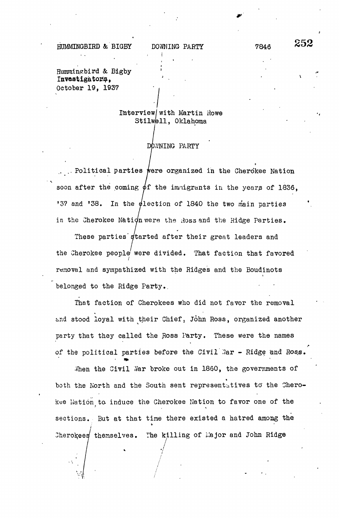HUMMINGBIRD & BIGBY DOWNING PARTY 7846 252

Hummingbird & Blgby Investigator, October 19, 1937

belonged to the Ridge Party..

## Interview/ with Martin Howe Stilwell, Oklahoma

## DOWNING PARTY

9 . . Political parties were organized in the Cherokee Nation soon after the coming  $\phi$ f the immigrants in the years of 1836. soon after the coming if the immigrants in the years of 1836, '37 and '38.  $\frac{3}{2}$  and  $\frac{3}{2}$  and  $\frac{3}{2}$  and  $\frac{3}{2}$  and  $\frac{3}{2}$  and  $\frac{3}{2}$  and  $\frac{3}{2}$  and  $\frac{3}{2}$  and  $\frac{3}{2}$  and  $\frac{3}{2}$  and  $\frac{3}{2}$  and  $\frac{3}{2}$  and  $\frac{3}{2}$  and  $\frac{3}{2}$  and  $\frac{3}{2}$  and  $\frac{3}{2}$  a in the Cherokee Nation were the Ross and the Ridge Parties.

 $\cdot$  dt. These parties started after their great leaders and the Cherokee people were divided. That faction that favored removal and sympathized with the Ridges and the Boudinots removal and sympathized with the Ridges and the Boudinots

in the Cherokee Nation were the :toss and the Ridge Parties.

That faction of Cherokees who did not favor the removal That faction of  $C$  cherokees who did not favor the removal the removal the removal the removal the removal the removal the removal the removal the removal the removal the removal the removal the removal the removal the r party that they called the Ross Party. These were the names of the political parties before the Civil Mar - Ridge and Ross.

of the political parties before the Civil .?ar - Ridge 'and Rosjg. Then the Civil Har broke out in 1860, the governments of  $\mathbf{v}^{\mathcal{A}}$  . Yar broke out in I860, the governments of  $\mathbf{v}^{\mathcal{A}}$ both the North and the South sent representatives to" the Cherokee Nation to induce the Cherokee Nation to favor one of the kee Nation to. induce the Cherokee Nation to. induce the Cherokee Nation to favor one of the Cherokee Nation to<br>The Cherokee Nation to favor one of the Cherokee National Cherokee National Cherokee National Cherokee Nationa sections. But at time the time time there existed a hatred among the time time time time the  $\ell$ themselves. Th

Cherokees/ themselves. The killing of 1.1ajor and John Ridge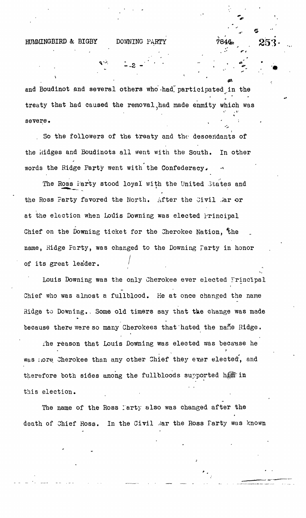HUMMINGBIRD & BIGBY DOWNING PARTY

and Boudinot and several others who had participated in the treaty that had caused the removal had made enmity which was  $\mathbf{v}^{\alpha} = \frac{1}{2} \mathbf{e}^{\alpha}$  $\mathcal{L}$  severe.

So the followers of the treaty and the descendants of  $S$  the followers of the treaty and the descendants of the descendants of the descendants of the descendants of the descendants of the descendants of the descendants of the descendants of the descendants of the descendant the kidges and Boudinots all went with the South. In other the iddges and Boudinots all went with the South. In other words the Ridge Party went with the Confederacy.

where  $\mathcal{R}$  is the Ridge Party with the Confederacy with the Confederacy with the Confederacy with the Confederacy with the Confederacy with the Confederacy with the Confederacy with the Confederacy with the Confederac

of its great leader is great leader. In the case of  $\mathcal{C}$ 

The Ross Party stood loyal with the United States and The Ross Party stood loyal with the United States and United States and United States and United States and United States and United States and United States and United States and United States and United States and United the Ross Party favored the North. After the Civil Ar or the Ross Party favored the North. After the Civil ,,'ar or at the election when Louis Downing was elected Principal at the election when  $\mathcal{L}_{\mathcal{A}}$  and  $\mathcal{L}_{\mathcal{A}}$  are elected Principal was elected Principal was elected Principal was elected Principal was elected Principal was elected Principal was elected Principal was elected Chief on the Downing ticket for the Cherokee Nation. the Chief on the Downing ticket for the Cherokee Nation, %he name, Ridge Farty, was changed to the Downing Party in honor  $R$ of its great leader.

Louis Downing was the only Cherokee ever elected Frincipal  $\mathcal{L} = \mathcal{L} \times \mathcal{L}$  was the only  $\mathcal{L} = \mathcal{L} \times \mathcal{L}$  . The only  $\mathcal{L} = \mathcal{L} \times \mathcal{L}$ Chief who was almost a fullblood. He at once changed the name  $C_{\rm eff}$  who was almost a fullblood. He at once changed the name  $\sigma$ Ridge to Downing. Some old timers say that the change was made  $\mathcal{R}$  , some objective to Downing., Some old time old time  $\mathcal{R}$  that that the change was made was made was made was made was made was made was made was made was made was made was made was made was made was made was because there were so many Cherokees that hated the name Ridge.

because there were so many Cherokees that "hated the nane Ridge.

The reason that Louis Downing was elected was because he is down in that Louis Downing was elected was elected was because here  $\lambda$ was nore Cherokee than any other Chief they ever elected, and therefore both sides among the fullbloods supported henr in therefore both sides and full bloods supported higher supported higher supported hydrogeneous supported hydrogeneous  $\mathcal{L}^*$ this election.

The name of the Ross I are the Ross I are the Ross I are the Ross I are the Ross I are the Ross I are the Ross death of Chief Ross. In the Civil Mar the Ross farty was known death of Chief Ross. In the Civil ,.'ar the Ross Party was known